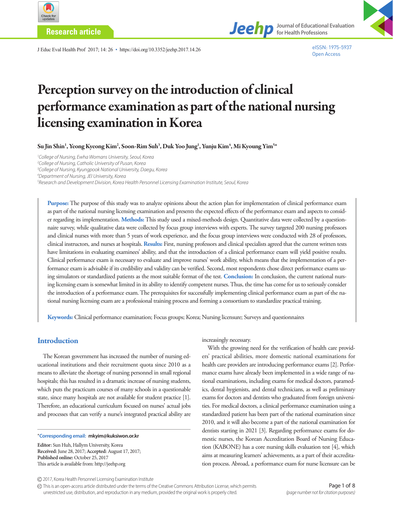

**Research article**



J Educ Eval Health Prof 2017; 14: 26 • https://doi.org/10.3352/jeehp.2017.14.26

eISSN: 1975-5937 Open Access

# Perception survey on the introduction of clinical performance examination as part of the national nursing licensing examination in Korea

Su Jin Shin<sup>1</sup>, Yeong Kyeong Kim<sup>2</sup>, Soon-Rim Suh<sup>3</sup>, Duk Yoo Jung<sup>1</sup>, Yunju Kim<sup>4</sup>, Mi Kyoung Yim<sup>5</sup>\*

 *College of Nursing, Ewha Womans University, Seoul, Korea College of Nursing, Catholic University of Pusan, Korea College of Nursing, Kyungpook National University, Daegu, Korea Department of Nursing, JEI University, Korea Research and Development Division, Korea Health Personnel Licensing Examination Institute, Seoul, Korea*

**Purpose:** The purpose of this study was to analyze opinions about the action plan for implementation of clinical performance exam as part of the national nursing licensing examination and presents the expected effects of the performance exam and aspects to consider regarding its implementation. **Methods:** This study used a mixed-methods design. Quantitative data were collected by a questionnaire survey, while qualitative data were collected by focus group interviews with experts. The survey targeted 200 nursing professors and clinical nurses with more than 5 years of work experience, and the focus group interviews were conducted with 28 of professors, clinical instructors, and nurses at hospitals. **Results:** First, nursing professors and clinical specialists agreed that the current written tests have limitations in evaluating examinees' ability, and that the introduction of a clinical performance exam will yield positive results. Clinical performance exam is necessary to evaluate and improve nurses' work ability, which means that the implementation of a performance exam is advisable if its credibility and validity can be verified. Second, most respondents chose direct performance exams using simulators or standardized patients as the most suitable format of the test. **Conclusion:** In conclusion, the current national nursing licensing exam is somewhat limited in its ability to identify competent nurses. Thus, the time has come for us to seriously consider the introduction of a performance exam. The prerequisites for successfully implementing clinical performance exam as part of the national nursing licensing exam are a professional training process and forming a consortium to standardize practical training.

**Keywords:** Clinical performance examination; Focus groups; Korea; Nursing licensure; Surveys and questionnaires

# **Introduction**

The Korean government has increased the number of nursing educational institutions and their recruitment quota since 2010 as a means to alleviate the shortage of nursing personnel in small regional hospitals; this has resulted in a dramatic increase of nursing students, which puts the practicum courses of many schools in a questionable state, since many hospitals are not available for student practice [1]. Therefore, an educational curriculum focused on nurses' actual jobs and processes that can verify a nurse's integrated practical ability are

\***Corresponding email: mkyim@kuksiwon.or.kr**

**Editor:** Sun Huh, Hallym University, Korea **Received:** June 28, 2017; **Accepted:** August 17, 2017; **Published online:** October 25, 2017 This article is available from: http://jeehp.org

increasingly necessary.

With the growing need for the verification of health care providers' practical abilities, more domestic national examinations for health care providers are introducing performance exams [2]. Performance exams have already been implemented in a wide range of national examinations, including exams for medical doctors, paramedics, dental hygienists, and dental technicians, as well as preliminary exams for doctors and dentists who graduated from foreign universities. For medical doctors, a clinical performance examination using a standardized patient has been part of the national examination since 2010, and it will also become a part of the national examination for dentists starting in 2021 [3]. Regarding performance exams for domestic nurses, the Korean Accreditation Board of Nursing Education (KABONE) has a core nursing skills evaluation test [4], which aims at measuring learners' achievements, as a part of their accreditation process. Abroad, a performance exam for nurse licensure can be

This is an open-access article distributed under the terms of the Creative Commons Attribution License, which permits unrestricted use, distribution, and reproduction in any medium, provided the original work is properly cited.

<sup>2017,</sup> Korea Health Personnel Licensing Examination Institute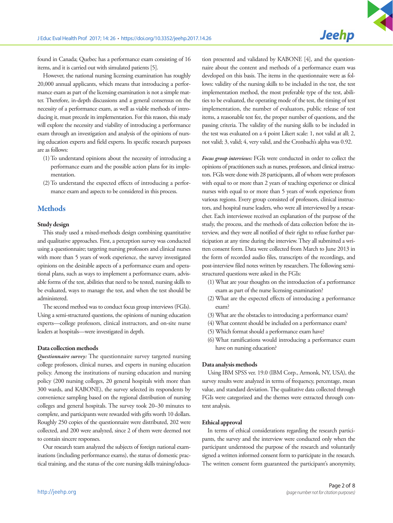found in Canada; Quebec has a performance exam consisting of 16 items, and it is carried out with simulated patients [5].

However, the national nursing licensing examination has roughly 20,000 annual applicants, which means that introducing a performance exam as part of the licensing examination is not a simple matter. Therefore, in-depth discussions and a general consensus on the necessity of a performance exam, as well as viable methods of introducing it, must precede its implementation. For this reason, this study will explore the necessity and viability of introducing a performance exam through an investigation and analysis of the opinions of nursing education experts and field experts. Its specific research purposes are as follows:

- (1) To understand opinions about the necessity of introducing a performance exam and the possible action plans for its implementation.
- (2) To understand the expected effects of introducing a performance exam and aspects to be considered in this process.

# **Methods**

### Study design

This study used a mixed-methods design combining quantitative and qualitative approaches. First, a perception survey was conducted using a questionnaire; targeting nursing professors and clinical nurses with more than 5 years of work experience, the survey investigated opinions on the desirable aspects of a performance exam and operational plans, such as ways to implement a performance exam, advisable forms of the test, abilities that need to be tested, nursing skills to be evaluated, ways to manage the test, and when the test should be administered.

The second method was to conduct focus group interviews (FGIs). Using a semi-structured questions, the opinions of nursing education experts—college professors, clinical instructors, and on-site nurse leaders at hospitals—were investigated in depth.

### Data collection methods

*Questionnaire survey:* The questionnaire survey targeted nursing college professors, clinical nurses, and experts in nursing education policy. Among the institutions of nursing education and nursing policy (200 nursing colleges, 20 general hospitals with more than 300 wards, and KABONE), the survey selected its respondents by convenience sampling based on the regional distribution of nursing colleges and general hospitals. The survey took 20–30 minutes to complete, and participants were rewarded with gifts worth 10 dollars. Roughly 250 copies of the questionnaire were distributed, 202 were collected, and 200 were analyzed, since 2 of them were deemed not to contain sincere responses.

Our research team analyzed the subjects of foreign national examinations (including performance exams), the status of domestic practical training, and the status of the core nursing skills training/education presented and validated by KABONE [4], and the questionnaire about the content and methods of a performance exam was developed on this basis. The items in the questionnaire were as follows: validity of the nursing skills to be included in the test, the test implementation method, the most preferable type of the test, abilities to be evaluated, the operating mode of the test, the timing of test implementation, the number of evaluators, public release of test items, a reasonable test fee, the proper number of questions, and the passing criteria. The validity of the nursing skills to be included in the test was evaluated on a 4 point Likert scale: 1, not valid at all; 2, not valid; 3, valid; 4, very valid, and the Cronbach's alpha was 0.92.

*Focus group interviews:* FGIs were conducted in order to collect the opinions of practitioners such as nurses, professors, and clinical instructors. FGIs were done with 28 participants, all of whom were professors with equal to or more than 2 years of teaching experience or clinical nurses with equal to or more than 5 years of work experience from various regions. Every group consisted of professors, clinical instructors, and hospital nurse leaders, who were all interviewed by a researcher. Each interviewee received an explanation of the purpose of the study, the process, and the methods of data collection before the interview, and they were all notified of their right to refuse further participation at any time during the interview. They all submitted a written consent form. Data were collected from March to June 2013 in the form of recorded audio files, transcripts of the recordings, and post-interview filed notes written by researchers. The following semistructured questions were asked in the FGIs:

- (1) What are your thoughts on the introduction of a performance exam as part of the nurse licensing examination?
- (2) What are the expected effects of introducing a performance exam?
- (3) What are the obstacles to introducing a performance exam?
- (4) What content should be included on a performance exam?
- (5) Which format should a performance exam have?
- (6) What ramifications would introducing a performance exam have on nursing education?

### Data analysis methods

Using IBM SPSS ver. 19.0 (IBM Corp., Armonk, NY, USA), the survey results were analyzed in terms of frequency, percentage, mean value, and standard deviation. The qualitative data collected through FGIs were categorized and the themes were extracted through content analysis.

### Ethical approval

In terms of ethical considerations regarding the research participants, the survey and the interview were conducted only when the participant understood the purpose of the research and voluntarily signed a written informed consent form to participate in the research. The written consent form guaranteed the participant's anonymity,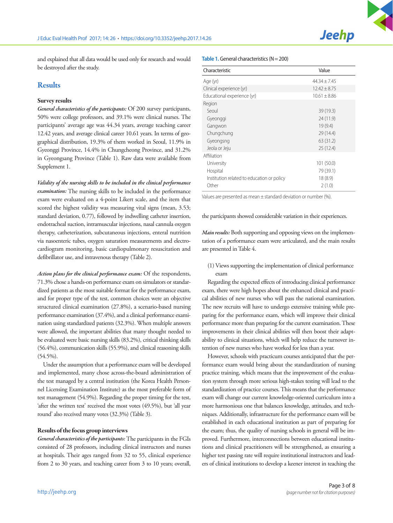

and explained that all data would be used only for research and would be destroyed after the study.

# **Results**

### Survey results

*General characteristics of the participants:* Of 200 survey participants, 50% were college professors, and 39.1% were clinical nurses. The participants' average age was 44.34 years, average teaching career 12.42 years, and average clinical career 10.61 years. In terms of geographical distribution, 19.3% of them worked in Seoul, 11.9% in Gyeonggi Province, 14.4% in Chungcheong Province, and 31.2% in Gyeongsang Province (Table 1). Raw data were available from Supplement 1.

*Validity of the nursing skills to be included in the clinical performance examination:* The nursing skills to be included in the performance exam were evaluated on a 4-point Likert scale, and the item that scored the highest validity was measuring vital signs (mean, 3.53; standard deviation, 0.77), followed by indwelling catheter insertion, endotracheal suction, intramuscular injections, nasal cannula oxygen therapy, catheterization, subcutaneous injections, enteral nutrition via nasoenteric tubes, oxygen saturation measurements and electrocardiogram monitoring, basic cardiopulmonary resuscitation and defibrillator use, and intravenous therapy (Table 2).

*Action plans for the clinical performance exam:* Of the respondents, 71.3% chose a hands-on performance exam on simulators or standardized patients as the most suitable format for the performance exam, and for proper type of the test, common choices were an objective structured clinical examination (27.8%), a scenario-based nursing performance examination (37.4%), and a clinical performance examination using standardized patients (32.3%). When multiple answers were allowed, the important abilities that many thought needed to be evaluated were basic nursing skills (83.2%), critical thinking skills (56.4%), communication skills (55.9%), and clinical reasoning skills (54.5%).

Under the assumption that a performance exam will be developed and implemented, many chose across-the-board administration of the test managed by a central institution (the Korea Health Personnel Licensing Examination Institute) as the most preferable form of test management (54.9%). Regarding the proper timing for the test, 'after the written test' received the most votes (49.5%), but 'all year round' also received many votes (32.3%) (Table 3).

# Results of the focus group interviews

*General characteristics of the participants:* The participants in the FGIs consisted of 28 professors, including clinical instructors and nurses at hospitals. Their ages ranged from 32 to 55, clinical experience from 2 to 30 years, and teaching career from 3 to 10 years; overall,

### **Table 1.** General characteristics (N = 200)

| Characteristic                             | Value            |
|--------------------------------------------|------------------|
| Age (yr)                                   | $44.34 \pm 7.45$ |
| Clinical experience (yr)                   | $12.42 \pm 8.75$ |
| Educational experience (yr)                | $10.61 \pm 8.86$ |
| Region                                     |                  |
| Seoul                                      | 39 (19.3)        |
| Gyeonggi                                   | 24 (11.9)        |
| Gangwon                                    | 19(9.4)          |
| Chungchung                                 | 29 (14.4)        |
| Gyeongsng                                  | 63(31.2)         |
| Jeola or Jeju                              | 25(12.4)         |
| Affiliation                                |                  |
| University                                 | 101 (50.0)       |
| Hospital                                   | 79 (39.1)        |
| Institution related to education or policy | 18(8.9)          |
| Other                                      | 2(1.0)           |

Values are presented as mean ± standard deviation or number (%).

the participants showed considerable variation in their experiences.

*Main results:* Both supporting and opposing views on the implementation of a performance exam were articulated, and the main results are presented in Table 4.

(1) Views supporting the implementation of clinical performance exam

Regarding the expected effects of introducing clinical performance exam, there were high hopes about the enhanced clinical and practical abilities of new nurses who will pass the national examination. The new recruits will have to undergo extensive training while preparing for the performance exam, which will improve their clinical performance more than preparing for the current examination. These improvements in their clinical abilities will then boost their adaptability to clinical situations, which will help reduce the turnover intention of new nurses who have worked for less than a year.

However, schools with practicum courses anticipated that the performance exam would bring about the standardization of nursing practice training, which means that the improvement of the evaluation system through more serious high-stakes testing will lead to the standardization of practice courses. This means that the performance exam will change our current knowledge-oriented curriculum into a more harmonious one that balances knowledge, attitudes, and techniques. Additionally, infrastructure for the performance exam will be established in each educational institution as part of preparing for the exam; thus, the quality of nursing schools in general will be improved. Furthermore, interconnections between educational institutions and clinical practitioners will be strengthened, as ensuring a higher test passing rate will require institutional instructors and leaders of clinical institutions to develop a keener interest in teaching the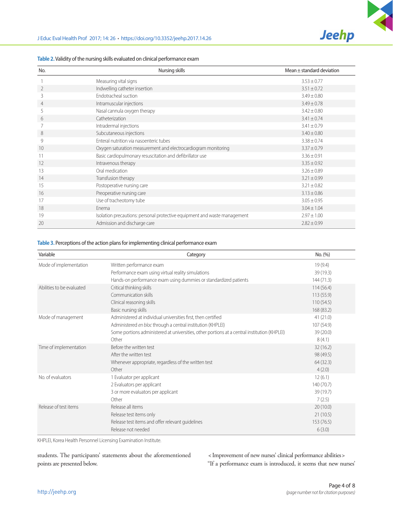| No.            | Nursing skills                                                            | Mean $\pm$ standard deviation |
|----------------|---------------------------------------------------------------------------|-------------------------------|
|                | Measuring vital signs                                                     | $3.53 \pm 0.77$               |
| 2              | Indwelling catheter insertion                                             | $3.51 \pm 0.72$               |
| 3              | Endotracheal suction                                                      | $3.49 \pm 0.80$               |
| $\overline{4}$ | Intramuscular injections                                                  | $3.49 \pm 0.78$               |
| 5              | Nasal cannula oxygen therapy                                              | $3.42 \pm 0.80$               |
| 6              | Catheterization                                                           | $3.41 \pm 0.74$               |
|                | Intradermal injections                                                    | $3.41 \pm 0.79$               |
| 8              | Subcutaneous injections                                                   | $3.40 \pm 0.80$               |
| 9              | Enteral nutrition via nasoenteric tubes                                   | $3.38 \pm 0.74$               |
| 10             | Oxygen saturation measurement and electrocardiogram monitoring            | $3.37 \pm 0.79$               |
| 11             | Basic cardiopulmonary resuscitation and defibrillator use                 | $3.36 \pm 0.91$               |
| 12             | Intravenous therapy                                                       | $3.35 \pm 0.92$               |
| 13             | Oral medication                                                           | $3.26 \pm 0.89$               |
| 14             | Transfusion therapy                                                       | $3.21 \pm 0.99$               |
| 15             | Postoperative nursing care                                                | $3.21 \pm 0.82$               |
| 16             | Preoperative nursing care                                                 | $3.13 \pm 0.86$               |
| 17             | Use of tracheotomy tube                                                   | $3.05 \pm 0.95$               |
| 18             | Fnema                                                                     | $3.04 \pm 1.04$               |
| 19             | Isolation precautions: personal protective equipment and waste management | $2.97 \pm 1.00$               |
| 20             | Admission and discharge care                                              | $2.82 \pm 0.99$               |

# **Table 2.** Validity of the nursing skills evaluated on clinical performance exam

# **Table 3.** Perceptions of the action plans for implementing clinical performance exam

| Variable                  | Category                                                                                     | No. (%)    |
|---------------------------|----------------------------------------------------------------------------------------------|------------|
| Mode of implementation    | Written performance exam                                                                     | 19(9.4)    |
|                           | Performance exam using virtual reality simulations                                           | 39 (19.3)  |
|                           | Hands-on performance exam using dummies or standardized patients                             | 144 (71.3) |
| Abilities to be evaluated | Critical thinking skills                                                                     | 114 (56.4) |
|                           | Communication skills                                                                         | 113(55.9)  |
|                           | Clinical reasoning skills                                                                    | 110(54.5)  |
|                           | Basic nursing skills                                                                         | 168 (83.2) |
| Mode of management        | Administered at individual universities first, then certified                                | 41(21.0)   |
|                           | Administered en bloc through a central institution (KHPLEI)                                  | 107 (54.9) |
|                           | Some portions administered at universities, other portions at a central institution (KHPLEI) | 39(20.0)   |
|                           | Other                                                                                        | 8(4.1)     |
| Time of implementation    | Before the written test                                                                      | 32(16.2)   |
|                           | After the written test                                                                       | 98 (49.5)  |
|                           | Whenever appropriate, regardless of the written test                                         | 64(32.3)   |
|                           | Other                                                                                        | 4(2.0)     |
| No. of evaluators         | 1 Evaluator per applicant                                                                    | 12(6.1)    |
|                           | 2 Evaluators per applicant                                                                   | 140 (70.7) |
|                           | 3 or more evaluators per applicant                                                           | 39 (19.7)  |
|                           | Other                                                                                        | 7(2.5)     |
| Release of test items     | Release all items                                                                            | 20(10.0)   |
|                           | Release test items only                                                                      | 21(10.5)   |
|                           | Release test items and offer relevant quidelines                                             | 153 (76.5) |
|                           | Release not needed                                                                           | 6(3.0)     |

KHPLEI, Korea Health Personnel Licensing Examination Institute.

students. The participants' statements about the aforementioned points are presented below.

< Improvement of new nurses' clinical performance abilities> "If a performance exam is introduced, it seems that new nurses'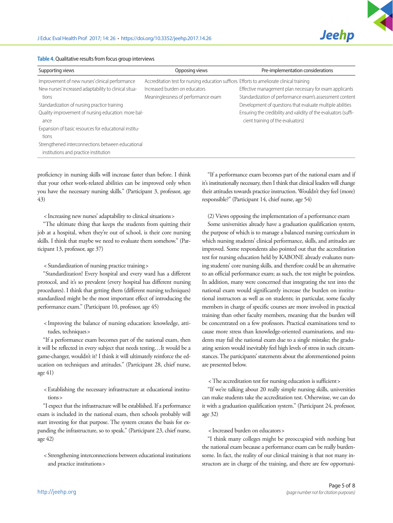| Supporting views                                      | Opposing views                                                                            | Pre-implementation considerations                               |
|-------------------------------------------------------|-------------------------------------------------------------------------------------------|-----------------------------------------------------------------|
| Improvement of new nurses' clinical performance       | Accreditation test for nursing education suffices Efforts to ameliorate clinical training |                                                                 |
| New nurses' increased adaptability to clinical situa- | Increased burden on educators                                                             | Effective management plan necessary for exam applicants         |
| tions                                                 | Meaninglessness of performance exam                                                       | Standardization of performance exam's assessment content        |
| Standardization of nursing practice training          |                                                                                           | Development of questions that evaluate multiple abilities       |
| Quality improvement of nursing education: more bal-   |                                                                                           | Ensuring the credibility and validity of the evaluators (suffi- |
| ance                                                  |                                                                                           | cient training of the evaluators)                               |
| Expansion of basic resources for educational institu- |                                                                                           |                                                                 |
| tions                                                 |                                                                                           |                                                                 |
| Strengthened interconnections between educational     |                                                                                           |                                                                 |
| institutions and practice institution                 |                                                                                           |                                                                 |

proficiency in nursing skills will increase faster than before. I think that your other work-related abilities can be improved only when you have the necessary nursing skills." (Participant 3, professor, age 43)

< Increasing new nurses' adaptability to clinical situations>

"The ultimate thing that keeps the students from quitting their job at a hospital, when they're out of school, is their core nursing skills. I think that maybe we need to evaluate them somehow." (Participant 13, professor, age 37)

### < Standardization of nursing practice training>

"Standardization! Every hospital and every ward has a different protocol, and it's so prevalent (every hospital has different nursing procedures). I think that getting them (different nursing techniques) standardized might be the most important effect of introducing the performance exam." (Participant 10, professor, age 45)

<Improving the balance of nursing education: knowledge, attitudes, techniques>

"If a performance exam becomes part of the national exam, then it will be reflected in every subject that needs testing…It would be a game-changer, wouldn't it? I think it will ultimately reinforce the education on techniques and attitudes." (Participant 28, chief nurse, age 41)

<Establishing the necessary infrastructure at educational institutions>

"I expect that the infrastructure will be established. If a performance exam is included in the national exam, then schools probably will start investing for that purpose. The system creates the basis for expanding the infrastructure, so to speak." (Participant 23, chief nurse, age 42)

<Strengthening interconnections between educational institutions and practice institutions>

"If a performance exam becomes part of the national exam and if it's institutionally necessary, then I think that clinical leaders will change their attitudes towards practice instruction. Wouldn't they feel (more) responsible?" (Participant 14, chief nurse, age 54)

**Jeehp** 

(2) Views opposing the implementation of a performance exam

Some universities already have a graduation qualification system, the purpose of which is to manage a balanced nursing curriculum in which nursing students' clinical performance, skills, and attitudes are improved. Some respondents also pointed out that the accreditation test for nursing education held by KABONE already evaluates nursing students' core nursing skills, and therefore could be an alternative to an official performance exam; as such, the test might be pointless. In addition, many were concerned that integrating the test into the national exam would significantly increase the burden on institutional instructors as well as on students; in particular, some faculty members in charge of specific courses are more involved in practical training than other faculty members, meaning that the burden will be concentrated on a few professors. Practical examinations tend to cause more stress than knowledge-oriented examinations, and students may fail the national exam due to a single mistake; the graduating seniors would inevitably feel high levels of stress in such circumstances. The participants' statements about the aforementioned points are presented below.

< The accreditation test for nursing education is sufficient>

"If we're talking about 20 really simple nursing skills, universities can make students take the accreditation test. Otherwisse, we can do it with a graduation qualification system." (Participant 24, professor, age 32)

< Increased burden on educators>

"I think many colleges might be preoccupied with nothing but the national exam because a performance exam can be really burdensome. In fact, the reality of our clinical training is that not many instructors are in charge of the training, and there are few opportuni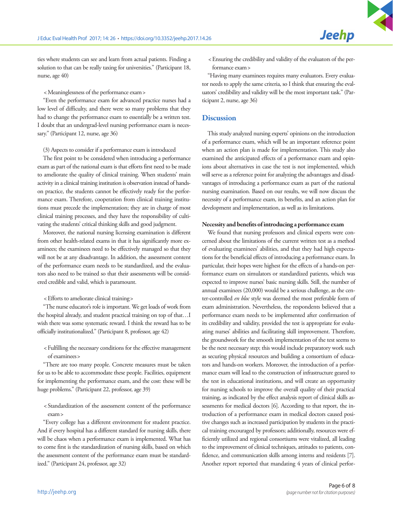ties where students can see and learn from actual patients. Finding a solution to that can be really taxing for universities." (Participant 18, nurse, age 40)

< Meaninglessness of the performance exam>

"Even the performance exam for advanced practice nurses had a low level of difficulty, and there were so many problems that they had to change the performance exam to essentially be a written test. I doubt that an undergrad-level nursing performance exam is necessary." (Participant 12, nurse, age 36)

(3) Aspects to consider if a performance exam is introduced

The first point to be considered when introducing a performance exam as part of the national exam is that efforts first need to be made to ameliorate the quality of clinical training. When students' main activity in a clinical training institution is observation instead of handson practice, the students cannot be effectively ready for the performance exam. Therefore, cooperation from clinical training institutions must precede the implementation; they are in charge of most clinical training processes, and they have the responsibility of cultivating the students' critical thinking skills and good judgment.

Moreover, the national nursing licensing examination is different from other health-related exams in that it has significantly more examinees; the examinees need to be effectively managed so that they will not be at any disadvantage. In addition, the assessment content of the performance exam needs to be standardized, and the evaluators also need to be trained so that their assessments will be considered credible and valid, which is paramount.

< Efforts to ameliorate clinical training>

"The nurse educator's role is important. We get loads of work from the hospital already, and student practical training on top of that…I wish there was some systematic reward. I think the reward has to be officially institutionalized." (Participant 8, professor, age 42)

<Fulfilling the necessary conditions for the effective management of examinees>

"There are too many people. Concrete measures must be taken for us to be able to accommodate these people. Facilities, equipment for implementing the performance exam, and the cost: these will be huge problems." (Participant 22, professor, age 39)

<Standardization of the assessment content of the performance exam>

"Every college has a different environment for student practice. And if every hospital has a different standard for nursing skills, there will be chaos when a performance exam is implemented. What has to come first is the standardization of nursing skills, based on which the assessment content of the performance exam must be standardized." (Participant 24, professor, age 32)

<Ensuring the credibility and validity of the evaluators of the performance exam>

"Having many examinees requires many evaluators. Every evaluator needs to apply the same criteria, so I think that ensuring the evaluators' credibility and validity will be the most important task." (Participant 2, nurse, age 36)

# **Discussion**

This study analyzed nursing experts' opinions on the introduction of a performance exam, which will be an important reference point when an action plan is made for implementation. This study also examined the anticipated effects of a performance exam and opinions about alternatives in case the test is not implemented, which will serve as a reference point for analyzing the advantages and disadvantages of introducing a performance exam as part of the national nursing examination. Based on our results, we will now discuss the necessity of a performance exam, its benefits, and an action plan for development and implementation, as well as its limitations.

### Necessity and benefits of introducing a performance exam

We found that nursing professors and clinical experts were concerned about the limitations of the current written test as a method of evaluating examinees' abilities, and that they had high expectations for the beneficial effects of introducing a performance exam. In particular, their hopes were highest for the effects of a hands-on performance exam on simulators or standardized patients, which was expected to improve nurses' basic nursing skills. Still, the number of annual examinees (20,000) would be a serious challenge, as the center-controlled *en bloc* style was deemed the most preferable form of exam administration. Nevertheless, the respondents believed that a performance exam needs to be implemented after confirmation of its credibility and validity, provided the test is appropriate for evaluating nurses' abilities and facilitating skill improvement. Therefore, the groundwork for the smooth implementation of the test seems to be the next necessary step; this would include preparatory work such as securing physical resources and building a consortium of educators and hands-on workers. Moreover, the introduction of a performance exam will lead to the construction of infrastructure geared to the test in educational institutions, and will create an opportunity for nursing schools to improve the overall quality of their practical training, as indicated by the effect analysis report of clinical skills assessments for medical doctors [6]. According to that report, the introduction of a performance exam in medical doctors caused positive changes such as increased participation by students in the practical training encouraged by professors; additionally, resources were efficiently utilized and regional consortiums were vitalized, all leading to the improvement of clinical techniques, attitudes to patients, confidence, and communication skills among interns and residents [7]. Another report reported that mandating 4 years of clinical perfor-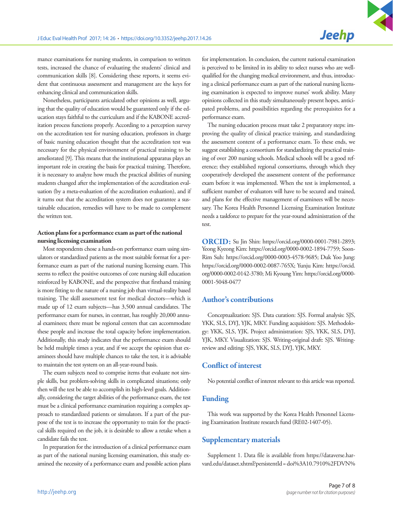mance examinations for nursing students, in comparison to written tests, increased the chance of evaluating the students' clinical and communication skills [8]. Considering these reports, it seems evident that continuous assessment and management are the keys for enhancing clinical and communication skills.

Nonetheless, participants articulated other opinions as well, arguing that the quality of education would be guaranteed only if the education stays faithful to the curriculum and if the KABONE accreditation process functions properly. According to a perception survey on the accreditation test for nursing education, professors in charge of basic nursing education thought that the accreditation test was necessary for the physical environment of practical training to be ameliorated [9]. This means that the institutional apparatus plays an important role in creating the basis for practical training. Therefore, it is necessary to analyze how much the practical abilities of nursing students changed after the implementation of the accreditation evaluation (by a meta-evaluation of the accreditation evaluation), and if it turns out that the accreditation system does not guarantee a sustainable education, remedies will have to be made to complement the written test.

# Action plans for a performance exam as part of the national nursing licensing examination

Most respondents chose a hands-on performance exam using simulators or standardized patients as the most suitable format for a performance exam as part of the national nursing licensing exam. This seems to reflect the positive outcomes of core nursing skill education reinforced by KABONE, and the perspective that firsthand training is more fitting to the nature of a nursing job than virtual-reality based training. The skill assessment test for medical doctors—which is made up of 12 exam subjects—has 3,500 annual candidates. The performance exam for nurses, in contrast, has roughly 20,000 annual examinees; there must be regional centers that can accommodate these people and increase the total capacity before implementation. Additionally, this study indicates that the performance exam should be held multiple times a year, and if we accept the opinion that examinees should have multiple chances to take the test, it is advisable to maintain the test system on an all-year-round basis.

The exam subjects need to comprise items that evaluate not simple skills, but problem-solving skills in complicated situations; only then will the test be able to accomplish its high-level goals. Additionally, considering the target abilities of the performance exam, the test must be a clinical performance examination requiring a complex approach to standardized patients or simulators. If a part of the purpose of the test is to increase the opportunity to train for the practical skills required on the job, it is desirable to allow a retake when a candidate fails the test.

In preparation for the introduction of a clinical performance exam as part of the national nursing licensing examination, this study examined the necessity of a performance exam and possible action plans

for implementation. In conclusion, the current national examination is perceived to be limited in its ability to select nurses who are wellqualified for the changing medical environment, and thus, introducing a clinical performance exam as part of the national nursing licensing examination is expected to improve nurses' work ability. Many opinions collected in this study simultaneously present hopes, anticipated problems, and possibilities regarding the prerequisites for a performance exam.

The nursing education process must take 2 preparatory steps: improving the quality of clinical practice training, and standardizing the assessment content of a performance exam. To these ends, we suggest establishing a consortium for standardizing the practical training of over 200 nursing schools. Medical schools will be a good reference; they established regional consortiums, through which they cooperatively developed the assessment content of the performance exam before it was implemented. When the test is implemented, a sufficient number of evaluators will have to be secured and trained, and plans for the effective management of examinees will be necessary. The Korea Health Personnel Licensing Examination Institute needs a taskforce to prepare for the year-round administration of the test.

ORCID: Su Jin Shin: https://orcid.org/0000-0001-7981-2893; Yeong Kyeong Kim: https://orcid.org/0000-0002-1894-7759; Soon-Rim Suh: https://orcid.org/0000-0003-4578-9685; Duk Yoo Jung: https://orcid.org/0000-0002-0087-765X; Yunju Kim: https://orcid. org/0000-0002-0142-3780; Mi Kyoung Yim: https://orcid.org/0000- 0001-5048-0477

# Author's contributions

Conceptualization: SJS. Data curation: SJS. Formal analysis: SJS, YKK, SLS, DYJ, YJK, MKY. Funding acquisition: SJS. Methodology: YKK, SLS, YJK. Project administration: SJS, YKK, SLS, DYJ, YJK, MKY. Visualization: SJS. Writing-original draft: SJS. Writingreview and editing: SJS, YKK, SLS, DYJ, YJK, MKY.

### Conflict of interest

No potential conflict of interest relevant to this article was reported.

### Funding

This work was supported by the Korea Health Personnel Licensing Examination Institute research fund (RE02-1407-05).

# Supplementary materials

Supplement 1. Data file is available from https://dataverse.harvard.edu/dataset.xhtml?persistentId= doi%3A10.7910%2FDVN%